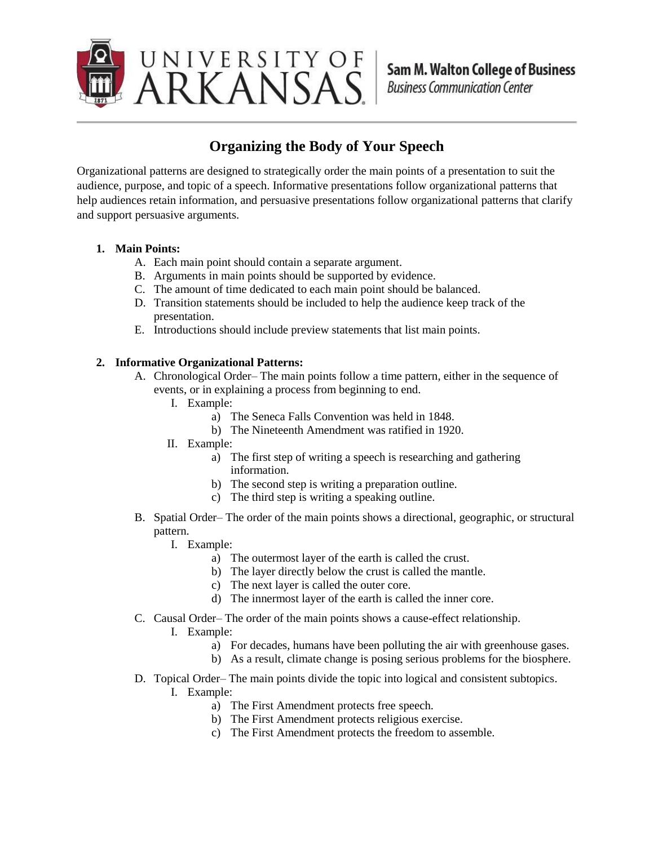

## **Organizing the Body of Your Speech**

Organizational patterns are designed to strategically order the main points of a presentation to suit the audience, purpose, and topic of a speech. Informative presentations follow organizational patterns that help audiences retain information, and persuasive presentations follow organizational patterns that clarify and support persuasive arguments.

## **1. Main Points:**

- A. Each main point should contain a separate argument.
- B. Arguments in main points should be supported by evidence.
- C. The amount of time dedicated to each main point should be balanced.
- D. Transition statements should be included to help the audience keep track of the presentation.
- E. Introductions should include preview statements that list main points.

## **2. Informative Organizational Patterns:**

- A. Chronological Order– The main points follow a time pattern, either in the sequence of events, or in explaining a process from beginning to end.
	- I. Example:
		- a) The Seneca Falls Convention was held in 1848.
		- b) The Nineteenth Amendment was ratified in 1920.
	- II. Example:
		- a) The first step of writing a speech is researching and gathering information.
		- b) The second step is writing a preparation outline.
		- c) The third step is writing a speaking outline.
- B. Spatial Order– The order of the main points shows a directional, geographic, or structural pattern.
	- I. Example:
		- a) The outermost layer of the earth is called the crust.
		- b) The layer directly below the crust is called the mantle.
		- c) The next layer is called the outer core.
		- d) The innermost layer of the earth is called the inner core.
- C. Causal Order– The order of the main points shows a cause-effect relationship.
	- I. Example:
		- a) For decades, humans have been polluting the air with greenhouse gases.
		- b) As a result, climate change is posing serious problems for the biosphere.
- D. Topical Order– The main points divide the topic into logical and consistent subtopics.
	- I. Example:
		- a) The First Amendment protects free speech.
		- b) The First Amendment protects religious exercise.
		- c) The First Amendment protects the freedom to assemble.